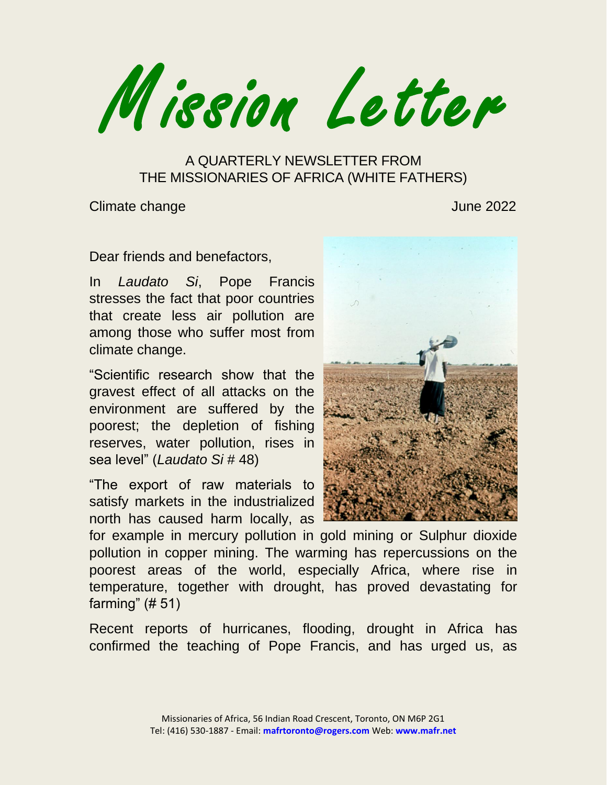Mission Letter

A QUARTERLY NEWSLETTER FROM THE MISSIONARIES OF AFRICA (WHITE FATHERS)

**Climate change Climate change**  $\sim$  100  $\mu$  2022

Dear friends and benefactors,

In *Laudato Si*, Pope Francis stresses the fact that poor countries that create less air pollution are among those who suffer most from climate change.

"Scientific research show that the gravest effect of all attacks on the environment are suffered by the poorest; the depletion of fishing reserves, water pollution, rises in sea level" (*Laudato Si* # 48)

"The export of raw materials to satisfy markets in the industrialized north has caused harm locally, as



for example in mercury pollution in gold mining or Sulphur dioxide pollution in copper mining. The warming has repercussions on the poorest areas of the world, especially Africa, where rise in temperature, together with drought, has proved devastating for farming" (# 51)

Recent reports of hurricanes, flooding, drought in Africa has confirmed the teaching of Pope Francis, and has urged us, as